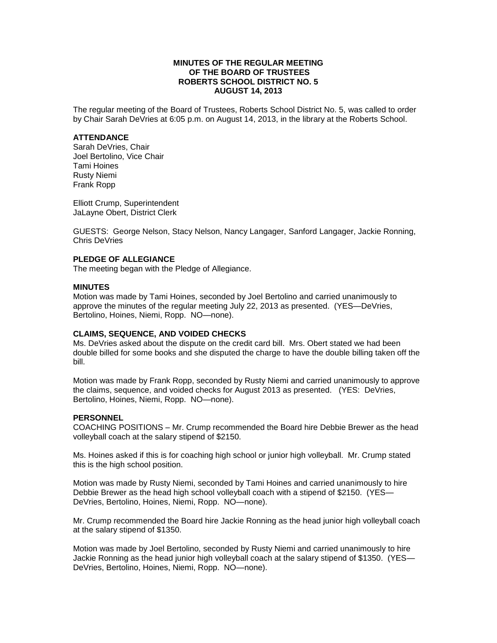### **MINUTES OF THE REGULAR MEETING OF THE BOARD OF TRUSTEES ROBERTS SCHOOL DISTRICT NO. 5 AUGUST 14, 2013**

The regular meeting of the Board of Trustees, Roberts School District No. 5, was called to order by Chair Sarah DeVries at 6:05 p.m. on August 14, 2013, in the library at the Roberts School.

#### **ATTENDANCE**

Sarah DeVries, Chair Joel Bertolino, Vice Chair Tami Hoines Rusty Niemi Frank Ropp

Elliott Crump, Superintendent JaLayne Obert, District Clerk

GUESTS: George Nelson, Stacy Nelson, Nancy Langager, Sanford Langager, Jackie Ronning, Chris DeVries

### **PLEDGE OF ALLEGIANCE**

The meeting began with the Pledge of Allegiance.

#### **MINUTES**

Motion was made by Tami Hoines, seconded by Joel Bertolino and carried unanimously to approve the minutes of the regular meeting July 22, 2013 as presented. (YES—DeVries, Bertolino, Hoines, Niemi, Ropp. NO—none).

### **CLAIMS, SEQUENCE, AND VOIDED CHECKS**

Ms. DeVries asked about the dispute on the credit card bill. Mrs. Obert stated we had been double billed for some books and she disputed the charge to have the double billing taken off the bill.

Motion was made by Frank Ropp, seconded by Rusty Niemi and carried unanimously to approve the claims, sequence, and voided checks for August 2013 as presented. (YES: DeVries, Bertolino, Hoines, Niemi, Ropp. NO—none).

#### **PERSONNEL**

COACHING POSITIONS – Mr. Crump recommended the Board hire Debbie Brewer as the head volleyball coach at the salary stipend of \$2150.

Ms. Hoines asked if this is for coaching high school or junior high volleyball. Mr. Crump stated this is the high school position.

Motion was made by Rusty Niemi, seconded by Tami Hoines and carried unanimously to hire Debbie Brewer as the head high school volleyball coach with a stipend of \$2150. (YES— DeVries, Bertolino, Hoines, Niemi, Ropp. NO—none).

Mr. Crump recommended the Board hire Jackie Ronning as the head junior high volleyball coach at the salary stipend of \$1350.

Motion was made by Joel Bertolino, seconded by Rusty Niemi and carried unanimously to hire Jackie Ronning as the head junior high volleyball coach at the salary stipend of \$1350. (YES— DeVries, Bertolino, Hoines, Niemi, Ropp. NO—none).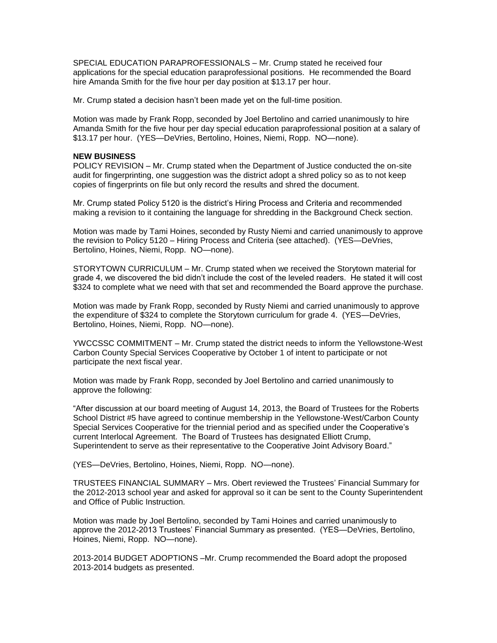SPECIAL EDUCATION PARAPROFESSIONALS – Mr. Crump stated he received four applications for the special education paraprofessional positions. He recommended the Board hire Amanda Smith for the five hour per day position at \$13.17 per hour.

Mr. Crump stated a decision hasn't been made yet on the full-time position.

Motion was made by Frank Ropp, seconded by Joel Bertolino and carried unanimously to hire Amanda Smith for the five hour per day special education paraprofessional position at a salary of \$13.17 per hour. (YES—DeVries, Bertolino, Hoines, Niemi, Ropp. NO—none).

### **NEW BUSINESS**

POLICY REVISION – Mr. Crump stated when the Department of Justice conducted the on-site audit for fingerprinting, one suggestion was the district adopt a shred policy so as to not keep copies of fingerprints on file but only record the results and shred the document.

Mr. Crump stated Policy 5120 is the district's Hiring Process and Criteria and recommended making a revision to it containing the language for shredding in the Background Check section.

Motion was made by Tami Hoines, seconded by Rusty Niemi and carried unanimously to approve the revision to Policy 5120 – Hiring Process and Criteria (see attached). (YES—DeVries, Bertolino, Hoines, Niemi, Ropp. NO—none).

STORYTOWN CURRICULUM – Mr. Crump stated when we received the Storytown material for grade 4, we discovered the bid didn't include the cost of the leveled readers. He stated it will cost \$324 to complete what we need with that set and recommended the Board approve the purchase.

Motion was made by Frank Ropp, seconded by Rusty Niemi and carried unanimously to approve the expenditure of \$324 to complete the Storytown curriculum for grade 4. (YES—DeVries, Bertolino, Hoines, Niemi, Ropp. NO—none).

YWCCSSC COMMITMENT – Mr. Crump stated the district needs to inform the Yellowstone-West Carbon County Special Services Cooperative by October 1 of intent to participate or not participate the next fiscal year.

Motion was made by Frank Ropp, seconded by Joel Bertolino and carried unanimously to approve the following:

"After discussion at our board meeting of August 14, 2013, the Board of Trustees for the Roberts School District #5 have agreed to continue membership in the Yellowstone-West/Carbon County Special Services Cooperative for the triennial period and as specified under the Cooperative's current Interlocal Agreement. The Board of Trustees has designated Elliott Crump, Superintendent to serve as their representative to the Cooperative Joint Advisory Board."

(YES—DeVries, Bertolino, Hoines, Niemi, Ropp. NO—none).

TRUSTEES FINANCIAL SUMMARY – Mrs. Obert reviewed the Trustees' Financial Summary for the 2012-2013 school year and asked for approval so it can be sent to the County Superintendent and Office of Public Instruction.

Motion was made by Joel Bertolino, seconded by Tami Hoines and carried unanimously to approve the 2012-2013 Trustees' Financial Summary as presented. (YES—DeVries, Bertolino, Hoines, Niemi, Ropp. NO—none).

2013-2014 BUDGET ADOPTIONS –Mr. Crump recommended the Board adopt the proposed 2013-2014 budgets as presented.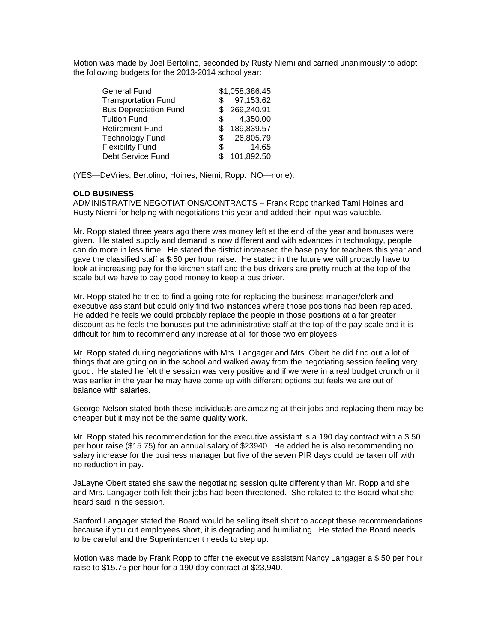Motion was made by Joel Bertolino, seconded by Rusty Niemi and carried unanimously to adopt the following budgets for the 2013-2014 school year:

| General Fund                 |     | \$1,058,386.45 |
|------------------------------|-----|----------------|
| <b>Transportation Fund</b>   | SS. | 97,153.62      |
| <b>Bus Depreciation Fund</b> |     | \$269,240.91   |
| <b>Tuition Fund</b>          | \$  | 4,350.00       |
| <b>Retirement Fund</b>       |     | \$189,839.57   |
| <b>Technology Fund</b>       | \$. | 26,805.79      |
| <b>Flexibility Fund</b>      | \$  | 14.65          |
| Debt Service Fund            | \$  | 101,892.50     |

(YES—DeVries, Bertolino, Hoines, Niemi, Ropp. NO—none).

### **OLD BUSINESS**

ADMINISTRATIVE NEGOTIATIONS/CONTRACTS – Frank Ropp thanked Tami Hoines and Rusty Niemi for helping with negotiations this year and added their input was valuable.

Mr. Ropp stated three years ago there was money left at the end of the year and bonuses were given. He stated supply and demand is now different and with advances in technology, people can do more in less time. He stated the district increased the base pay for teachers this year and gave the classified staff a \$.50 per hour raise. He stated in the future we will probably have to look at increasing pay for the kitchen staff and the bus drivers are pretty much at the top of the scale but we have to pay good money to keep a bus driver.

Mr. Ropp stated he tried to find a going rate for replacing the business manager/clerk and executive assistant but could only find two instances where those positions had been replaced. He added he feels we could probably replace the people in those positions at a far greater discount as he feels the bonuses put the administrative staff at the top of the pay scale and it is difficult for him to recommend any increase at all for those two employees.

Mr. Ropp stated during negotiations with Mrs. Langager and Mrs. Obert he did find out a lot of things that are going on in the school and walked away from the negotiating session feeling very good. He stated he felt the session was very positive and if we were in a real budget crunch or it was earlier in the year he may have come up with different options but feels we are out of balance with salaries.

George Nelson stated both these individuals are amazing at their jobs and replacing them may be cheaper but it may not be the same quality work.

Mr. Ropp stated his recommendation for the executive assistant is a 190 day contract with a \$.50 per hour raise (\$15.75) for an annual salary of \$23940. He added he is also recommending no salary increase for the business manager but five of the seven PIR days could be taken off with no reduction in pay.

JaLayne Obert stated she saw the negotiating session quite differently than Mr. Ropp and she and Mrs. Langager both felt their jobs had been threatened. She related to the Board what she heard said in the session.

Sanford Langager stated the Board would be selling itself short to accept these recommendations because if you cut employees short, it is degrading and humiliating. He stated the Board needs to be careful and the Superintendent needs to step up.

Motion was made by Frank Ropp to offer the executive assistant Nancy Langager a \$.50 per hour raise to \$15.75 per hour for a 190 day contract at \$23,940.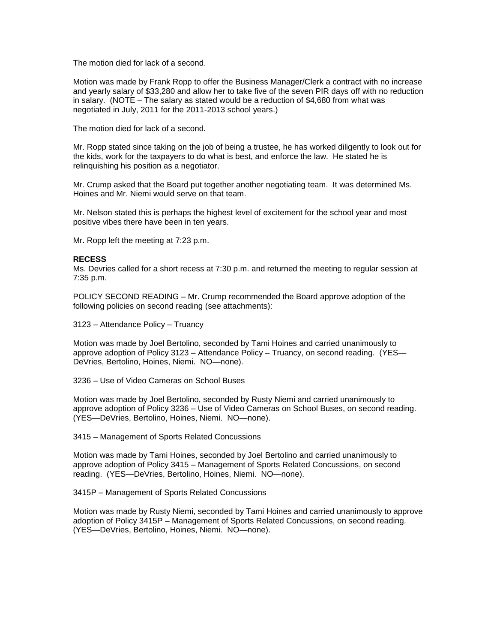The motion died for lack of a second.

Motion was made by Frank Ropp to offer the Business Manager/Clerk a contract with no increase and yearly salary of \$33,280 and allow her to take five of the seven PIR days off with no reduction in salary. (NOTE – The salary as stated would be a reduction of \$4,680 from what was negotiated in July, 2011 for the 2011-2013 school years.)

The motion died for lack of a second.

Mr. Ropp stated since taking on the job of being a trustee, he has worked diligently to look out for the kids, work for the taxpayers to do what is best, and enforce the law. He stated he is relinquishing his position as a negotiator.

Mr. Crump asked that the Board put together another negotiating team. It was determined Ms. Hoines and Mr. Niemi would serve on that team.

Mr. Nelson stated this is perhaps the highest level of excitement for the school year and most positive vibes there have been in ten years.

Mr. Ropp left the meeting at 7:23 p.m.

### **RECESS**

Ms. Devries called for a short recess at 7:30 p.m. and returned the meeting to regular session at 7:35 p.m.

POLICY SECOND READING – Mr. Crump recommended the Board approve adoption of the following policies on second reading (see attachments):

3123 – Attendance Policy – Truancy

Motion was made by Joel Bertolino, seconded by Tami Hoines and carried unanimously to approve adoption of Policy 3123 – Attendance Policy – Truancy, on second reading. (YES— DeVries, Bertolino, Hoines, Niemi. NO—none).

3236 – Use of Video Cameras on School Buses

Motion was made by Joel Bertolino, seconded by Rusty Niemi and carried unanimously to approve adoption of Policy 3236 – Use of Video Cameras on School Buses, on second reading. (YES—DeVries, Bertolino, Hoines, Niemi. NO—none).

3415 – Management of Sports Related Concussions

Motion was made by Tami Hoines, seconded by Joel Bertolino and carried unanimously to approve adoption of Policy 3415 – Management of Sports Related Concussions, on second reading. (YES—DeVries, Bertolino, Hoines, Niemi. NO—none).

3415P – Management of Sports Related Concussions

Motion was made by Rusty Niemi, seconded by Tami Hoines and carried unanimously to approve adoption of Policy 3415P – Management of Sports Related Concussions, on second reading. (YES—DeVries, Bertolino, Hoines, Niemi. NO—none).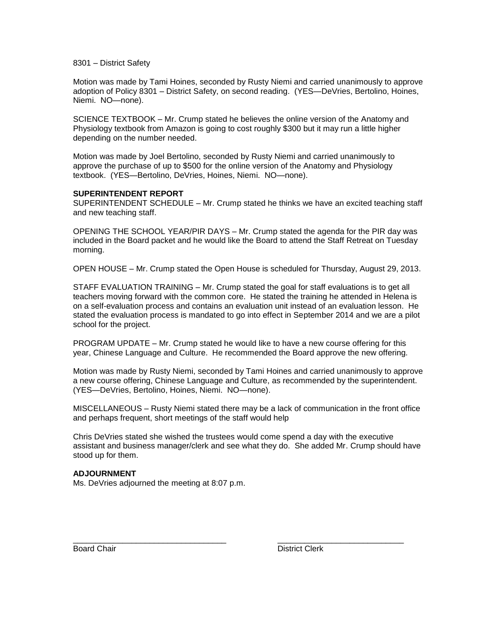8301 – District Safety

Motion was made by Tami Hoines, seconded by Rusty Niemi and carried unanimously to approve adoption of Policy 8301 – District Safety, on second reading. (YES—DeVries, Bertolino, Hoines, Niemi. NO—none).

SCIENCE TEXTBOOK – Mr. Crump stated he believes the online version of the Anatomy and Physiology textbook from Amazon is going to cost roughly \$300 but it may run a little higher depending on the number needed.

Motion was made by Joel Bertolino, seconded by Rusty Niemi and carried unanimously to approve the purchase of up to \$500 for the online version of the Anatomy and Physiology textbook. (YES—Bertolino, DeVries, Hoines, Niemi. NO—none).

### **SUPERINTENDENT REPORT**

SUPERINTENDENT SCHEDULE – Mr. Crump stated he thinks we have an excited teaching staff and new teaching staff.

OPENING THE SCHOOL YEAR/PIR DAYS – Mr. Crump stated the agenda for the PIR day was included in the Board packet and he would like the Board to attend the Staff Retreat on Tuesday morning.

OPEN HOUSE – Mr. Crump stated the Open House is scheduled for Thursday, August 29, 2013.

STAFF EVALUATION TRAINING – Mr. Crump stated the goal for staff evaluations is to get all teachers moving forward with the common core. He stated the training he attended in Helena is on a self-evaluation process and contains an evaluation unit instead of an evaluation lesson. He stated the evaluation process is mandated to go into effect in September 2014 and we are a pilot school for the project.

PROGRAM UPDATE – Mr. Crump stated he would like to have a new course offering for this year, Chinese Language and Culture. He recommended the Board approve the new offering.

Motion was made by Rusty Niemi, seconded by Tami Hoines and carried unanimously to approve a new course offering, Chinese Language and Culture, as recommended by the superintendent. (YES—DeVries, Bertolino, Hoines, Niemi. NO—none).

MISCELLANEOUS – Rusty Niemi stated there may be a lack of communication in the front office and perhaps frequent, short meetings of the staff would help

Chris DeVries stated she wished the trustees would come spend a day with the executive assistant and business manager/clerk and see what they do. She added Mr. Crump should have stood up for them.

\_\_\_\_\_\_\_\_\_\_\_\_\_\_\_\_\_\_\_\_\_\_\_\_\_\_\_\_\_\_\_\_\_\_ \_\_\_\_\_\_\_\_\_\_\_\_\_\_\_\_\_\_\_\_\_\_\_\_\_\_\_\_

#### **ADJOURNMENT**

Ms. DeVries adjourned the meeting at 8:07 p.m.

Board Chair **District Clerk**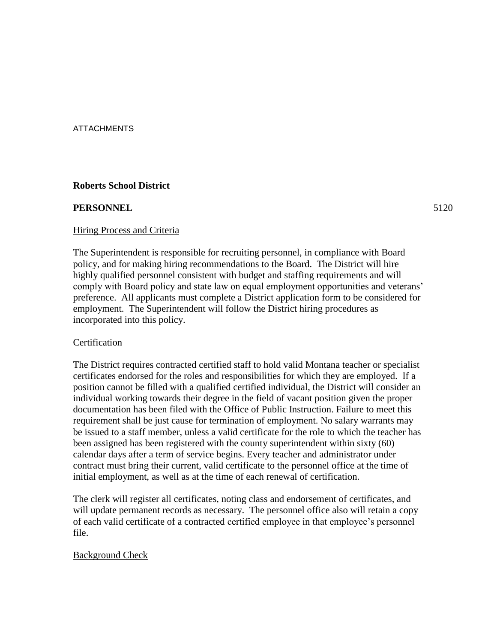ATTACHMENTS

# **Roberts School District**

### **PERSONNEL** 5120

### Hiring Process and Criteria

The Superintendent is responsible for recruiting personnel, in compliance with Board policy, and for making hiring recommendations to the Board. The District will hire highly qualified personnel consistent with budget and staffing requirements and will comply with Board policy and state law on equal employment opportunities and veterans' preference. All applicants must complete a District application form to be considered for employment. The Superintendent will follow the District hiring procedures as incorporated into this policy.

# Certification

The District requires contracted certified staff to hold valid Montana teacher or specialist certificates endorsed for the roles and responsibilities for which they are employed. If a position cannot be filled with a qualified certified individual, the District will consider an individual working towards their degree in the field of vacant position given the proper documentation has been filed with the Office of Public Instruction. Failure to meet this requirement shall be just cause for termination of employment. No salary warrants may be issued to a staff member, unless a valid certificate for the role to which the teacher has been assigned has been registered with the county superintendent within sixty (60) calendar days after a term of service begins. Every teacher and administrator under contract must bring their current, valid certificate to the personnel office at the time of initial employment, as well as at the time of each renewal of certification.

The clerk will register all certificates, noting class and endorsement of certificates, and will update permanent records as necessary. The personnel office also will retain a copy of each valid certificate of a contracted certified employee in that employee's personnel file.

# Background Check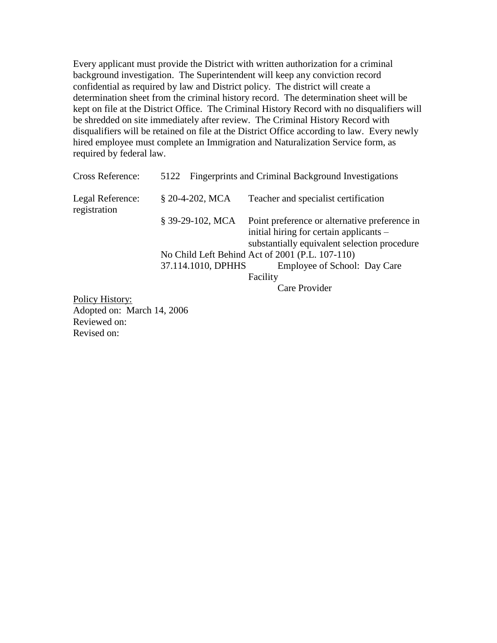Every applicant must provide the District with written authorization for a criminal background investigation. The Superintendent will keep any conviction record confidential as required by law and District policy. The district will create a determination sheet from the criminal history record. The determination sheet will be kept on file at the District Office. The Criminal History Record with no disqualifiers will be shredded on site immediately after review. The Criminal History Record with disqualifiers will be retained on file at the District Office according to law. Every newly hired employee must complete an Immigration and Naturalization Service form, as required by federal law.

| Cross Reference:                 | 5122 Fingerprints and Criminal Background Investigations |                                                                                                                                          |  |
|----------------------------------|----------------------------------------------------------|------------------------------------------------------------------------------------------------------------------------------------------|--|
| Legal Reference:<br>registration | § 20-4-202, MCA                                          | Teacher and specialist certification                                                                                                     |  |
|                                  | $$39-29-102, MCA$                                        | Point preference or alternative preference in<br>initial hiring for certain applicants –<br>substantially equivalent selection procedure |  |
|                                  |                                                          | No Child Left Behind Act of 2001 (P.L. 107-110)                                                                                          |  |
|                                  | 37.114.1010, DPHHS                                       | Employee of School: Day Care                                                                                                             |  |
|                                  |                                                          | Facility                                                                                                                                 |  |
|                                  |                                                          | Care Provider                                                                                                                            |  |
| $\sim$ $\cdot$                   |                                                          |                                                                                                                                          |  |

Policy History: Adopted on: March 14, 2006 Reviewed on: Revised on: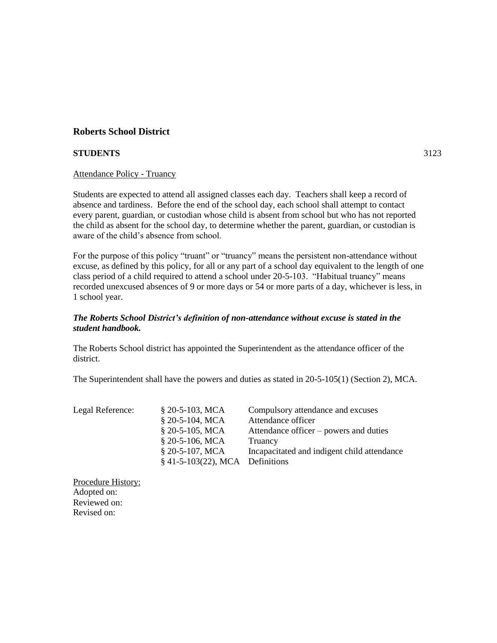### **STUDENTS** 3123

### Attendance Policy - Truancy

Students are expected to attend all assigned classes each day. Teachers shall keep a record of absence and tardiness. Before the end of the school day, each school shall attempt to contact every parent, guardian, or custodian whose child is absent from school but who has not reported the child as absent for the school day, to determine whether the parent, guardian, or custodian is aware of the child's absence from school.

For the purpose of this policy "truant" or "truancy" means the persistent non-attendance without excuse, as defined by this policy, for all or any part of a school day equivalent to the length of one class period of a child required to attend a school under 20-5-103. "Habitual truancy" means recorded unexcused absences of 9 or more days or 54 or more parts of a day, whichever is less, in 1 school year.

### *The Roberts School District's definition of non-attendance without excuse is stated in the student handbook.*

The Roberts School district has appointed the Superintendent as the attendance officer of the district.

The Superintendent shall have the powers and duties as stated in 20-5-105(1) (Section 2), MCA.

| Legal Reference: | $$20-5-103$ , MCA                 | Compulsory attendance and excuses           |
|------------------|-----------------------------------|---------------------------------------------|
|                  | $$20-5-104, MCA$                  | Attendance officer                          |
|                  | $$20-5-105$ , MCA                 | Attendance officer – powers and duties      |
|                  | $$20-5-106$ , MCA                 | Truancy                                     |
|                  | $$20-5-107$ , MCA                 | Incapacitated and indigent child attendance |
|                  | $§$ 41-5-103(22), MCA Definitions |                                             |

Procedure History: Adopted on: Reviewed on: Revised on: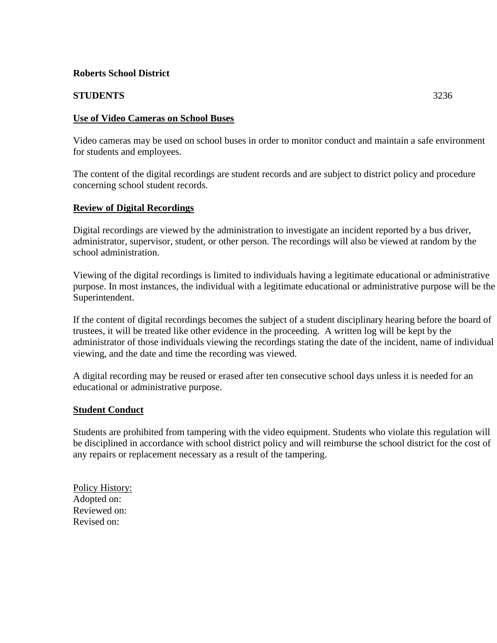# 3 **STUDENTS** 3236

# 5 **Use of Video Cameras on School Buses**

Video cameras may be used on school buses in order to monitor conduct and maintain a safe environment for students and employees.

The content of the digital recordings are student records and are subject to district policy and procedure concerning school student records.

# **Review of Digital Recordings**

Digital recordings are viewed by the administration to investigate an incident reported by a bus driver, administrator, supervisor, student, or other person. The recordings will also be viewed at random by the school administration.

19 Viewing of the digital recordings is limited to individuals having a legitimate educational or administrative 20 purpose. In most instances, the individual with a legitimate educational or administrative purpose will be the Superintendent.

If the content of digital recordings becomes the subject of a student disciplinary hearing before the board of 24 trustees, it will be treated like other evidence in the proceeding. A written log will be kept by the administrator of those individuals viewing the recordings stating the date of the incident, name of individual viewing, and the date and time the recording was viewed.

A digital recording may be reused or erased after ten consecutive school days unless it is needed for an educational or administrative purpose.

# **Student Conduct**

Students are prohibited from tampering with the video equipment. Students who violate this regulation will 34 be disciplined in accordance with school district policy and will reimburse the school district for the cost of any repairs or replacement necessary as a result of the tampering.

Policy History: Adopted on: Reviewed on: Revised on: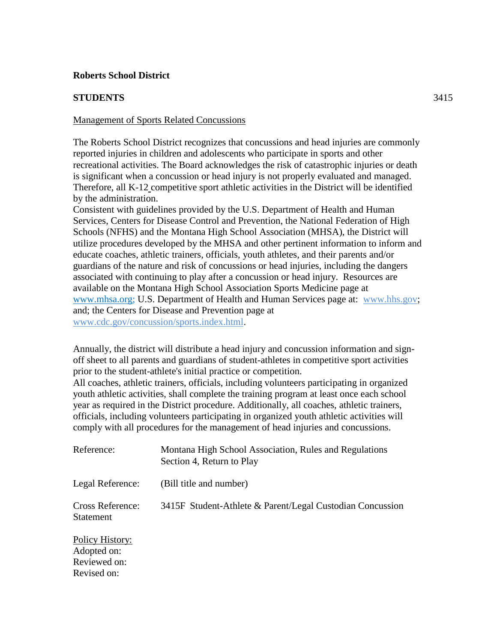# **STUDENTS** 3415

# Management of Sports Related Concussions

The Roberts School District recognizes that concussions and head injuries are commonly reported injuries in children and adolescents who participate in sports and other recreational activities. The Board acknowledges the risk of catastrophic injuries or death is significant when a concussion or head injury is not properly evaluated and managed. Therefore, all K-12 competitive sport athletic activities in the District will be identified by the administration.

Consistent with guidelines provided by the U.S. Department of Health and Human Services, Centers for Disease Control and Prevention, the National Federation of High Schools (NFHS) and the Montana High School Association (MHSA), the District will utilize procedures developed by the MHSA and other pertinent information to inform and educate coaches, athletic trainers, officials, youth athletes, and their parents and/or guardians of the nature and risk of concussions or head injuries, including the dangers associated with continuing to play after a concussion or head injury. Resources are available on the Montana High School Association Sports Medicine page at [www.mhsa.org;](http://www.mhsa.org/) U.S. Department of Health and Human Services page at: www.hhs.gov; and; the Centers for Disease and Prevention page at www.cdc.gov/concussion/sports.index.html.

Annually, the district will distribute a head injury and concussion information and signoff sheet to all parents and guardians of student-athletes in competitive sport activities prior to the student-athlete's initial practice or competition.

All coaches, athletic trainers, officials, including volunteers participating in organized youth athletic activities, shall complete the training program at least once each school year as required in the District procedure. Additionally, all coaches, athletic trainers, officials, including volunteers participating in organized youth athletic activities will comply with all procedures for the management of head injuries and concussions.

| Reference:                                                    | Montana High School Association, Rules and Regulations<br>Section 4, Return to Play |
|---------------------------------------------------------------|-------------------------------------------------------------------------------------|
| Legal Reference:                                              | (Bill title and number)                                                             |
| <b>Cross Reference:</b><br>Statement                          | 3415F Student-Athlete & Parent/Legal Custodian Concussion                           |
| Policy History:<br>Adopted on:<br>Reviewed on:<br>Revised on: |                                                                                     |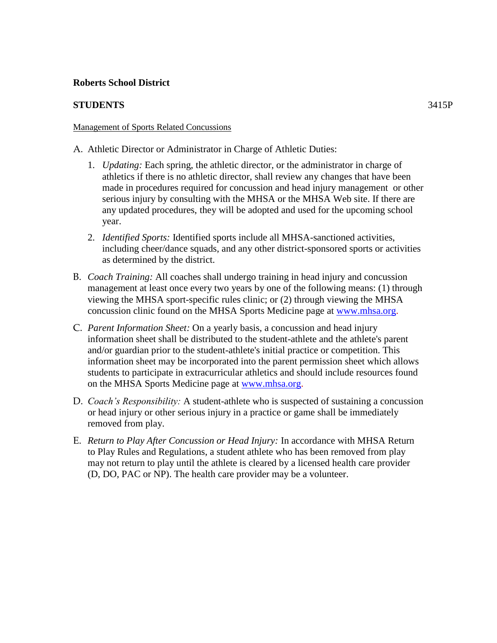# **STUDENTS** 3415P

## Management of Sports Related Concussions

A. Athletic Director or Administrator in Charge of Athletic Duties:

- 1. *Updating:* Each spring, the athletic director, or the administrator in charge of athletics if there is no athletic director, shall review any changes that have been made in procedures required for concussion and head injury management or other serious injury by consulting with the MHSA or the MHSA Web site. If there are any updated procedures, they will be adopted and used for the upcoming school year.
- 2. *Identified Sports:* Identified sports include all MHSA-sanctioned activities, including cheer/dance squads, and any other district-sponsored sports or activities as determined by the district.
- B. *Coach Training:* All coaches shall undergo training in head injury and concussion management at least once every two years by one of the following means: (1) through viewing the MHSA sport-specific rules clinic; or (2) through viewing the MHSA concussion clinic found on the MHSA Sports Medicine page at [www.mhsa.org.](http://www.mhsa.org/)
- C. *Parent Information Sheet:* On a yearly basis, a concussion and head injury information sheet shall be distributed to the student-athlete and the athlete's parent and/or guardian prior to the student-athlete's initial practice or competition. This information sheet may be incorporated into the parent permission sheet which allows students to participate in extracurricular athletics and should include resources found on the MHSA Sports Medicine page at [www.mhsa.org.](http://www.mhsa.org/)
- D. *Coach's Responsibility:* A student-athlete who is suspected of sustaining a concussion or head injury or other serious injury in a practice or game shall be immediately removed from play.
- E. *Return to Play After Concussion or Head Injury:* In accordance with MHSA Return to Play Rules and Regulations, a student athlete who has been removed from play may not return to play until the athlete is cleared by a licensed health care provider (D, DO, PAC or NP). The health care provider may be a volunteer.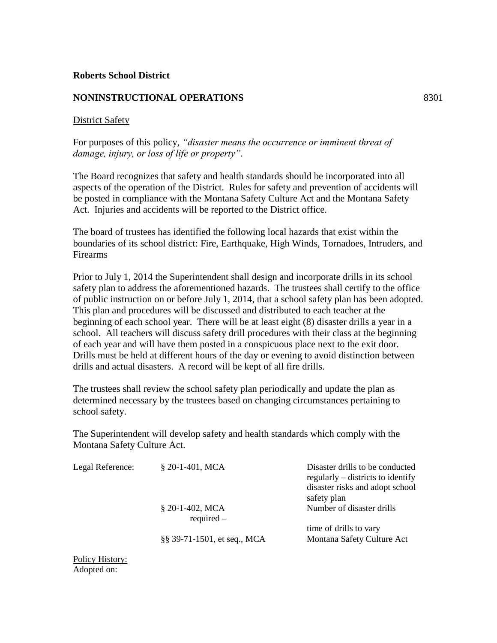### **NONINSTRUCTIONAL OPERATIONS** 8301

### District Safety

For purposes of this policy, *"disaster means the occurrence or imminent threat of damage, injury, or loss of life or property"*.

The Board recognizes that safety and health standards should be incorporated into all aspects of the operation of the District. Rules for safety and prevention of accidents will be posted in compliance with the Montana Safety Culture Act and the Montana Safety Act. Injuries and accidents will be reported to the District office.

The board of trustees has identified the following local hazards that exist within the boundaries of its school district: Fire, Earthquake, High Winds, Tornadoes, Intruders, and Firearms

Prior to July 1, 2014 the Superintendent shall design and incorporate drills in its school safety plan to address the aforementioned hazards. The trustees shall certify to the office of public instruction on or before July 1, 2014, that a school safety plan has been adopted. This plan and procedures will be discussed and distributed to each teacher at the beginning of each school year. There will be at least eight (8) disaster drills a year in a school. All teachers will discuss safety drill procedures with their class at the beginning of each year and will have them posted in a conspicuous place next to the exit door. Drills must be held at different hours of the day or evening to avoid distinction between drills and actual disasters. A record will be kept of all fire drills.

The trustees shall review the school safety plan periodically and update the plan as determined necessary by the trustees based on changing circumstances pertaining to school safety.

The Superintendent will develop safety and health standards which comply with the Montana Safety Culture Act.

| Legal Reference: | $$20-1-401$ , MCA                 | Disaster drills to be conducted<br>regularly – districts to identify<br>disaster risks and adopt school<br>safety plan |
|------------------|-----------------------------------|------------------------------------------------------------------------------------------------------------------------|
|                  | $$20-1-402$ , MCA<br>$required -$ | Number of disaster drills                                                                                              |
|                  | §§ 39-71-1501, et seq., MCA       | time of drills to vary<br>Montana Safety Culture Act                                                                   |

Policy History: Adopted on: